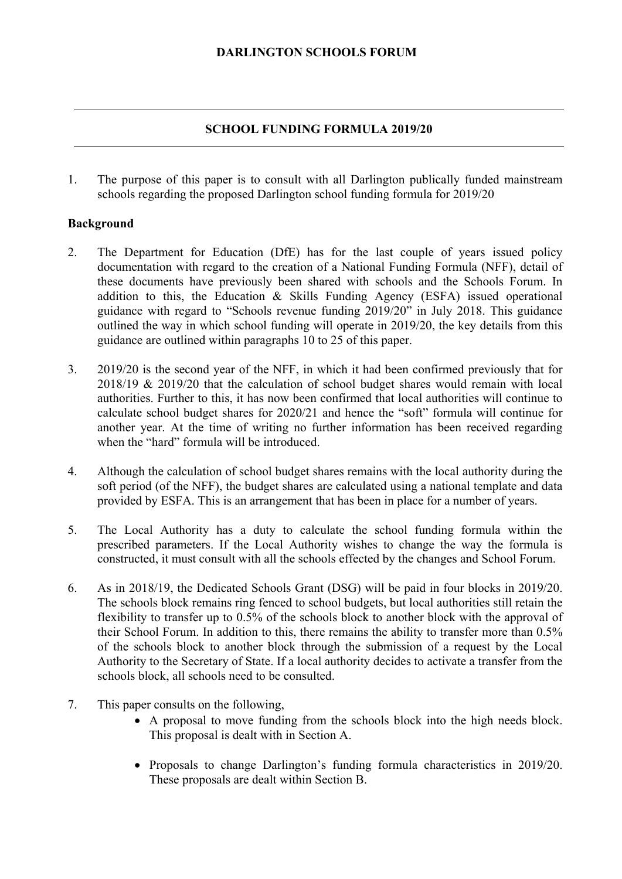### **DARLINGTON SCHOOLS FORUM**

### **SCHOOL FUNDING FORMULA 2019/20**

1. The purpose of this paper is to consult with all Darlington publically funded mainstream schools regarding the proposed Darlington school funding formula for 2019/20

#### **Background**

- 2. The Department for Education (DfE) has for the last couple of years issued policy documentation with regard to the creation of a National Funding Formula (NFF), detail of these documents have previously been shared with schools and the Schools Forum. In addition to this, the Education & Skills Funding Agency (ESFA) issued operational guidance with regard to "Schools revenue funding 2019/20" in July 2018. This guidance outlined the way in which school funding will operate in 2019/20, the key details from this guidance are outlined within paragraphs 10 to 25 of this paper.
- 3. 2019/20 is the second year of the NFF, in which it had been confirmed previously that for 2018/19 & 2019/20 that the calculation of school budget shares would remain with local authorities. Further to this, it has now been confirmed that local authorities will continue to calculate school budget shares for 2020/21 and hence the "soft" formula will continue for another year. At the time of writing no further information has been received regarding when the "hard" formula will be introduced.
- 4. Although the calculation of school budget shares remains with the local authority during the soft period (of the NFF), the budget shares are calculated using a national template and data provided by ESFA. This is an arrangement that has been in place for a number of years.
- 5. The Local Authority has a duty to calculate the school funding formula within the prescribed parameters. If the Local Authority wishes to change the way the formula is constructed, it must consult with all the schools effected by the changes and School Forum.
- of the schools block to another block through the submission of a request by the Local 6. As in 2018/19, the Dedicated Schools Grant (DSG) will be paid in four blocks in 2019/20. The schools block remains ring fenced to school budgets, but local authorities still retain the flexibility to transfer up to 0.5% of the schools block to another block with the approval of their School Forum. In addition to this, there remains the ability to transfer more than 0.5% Authority to the Secretary of State. If a local authority decides to activate a transfer from the schools block, all schools need to be consulted.
- 7. This paper consults on the following,
	- A proposal to move funding from the schools block into the high needs block. This proposal is dealt with in Section A.
	- Proposals to change Darlington's funding formula characteristics in 2019/20. These proposals are dealt within Section B.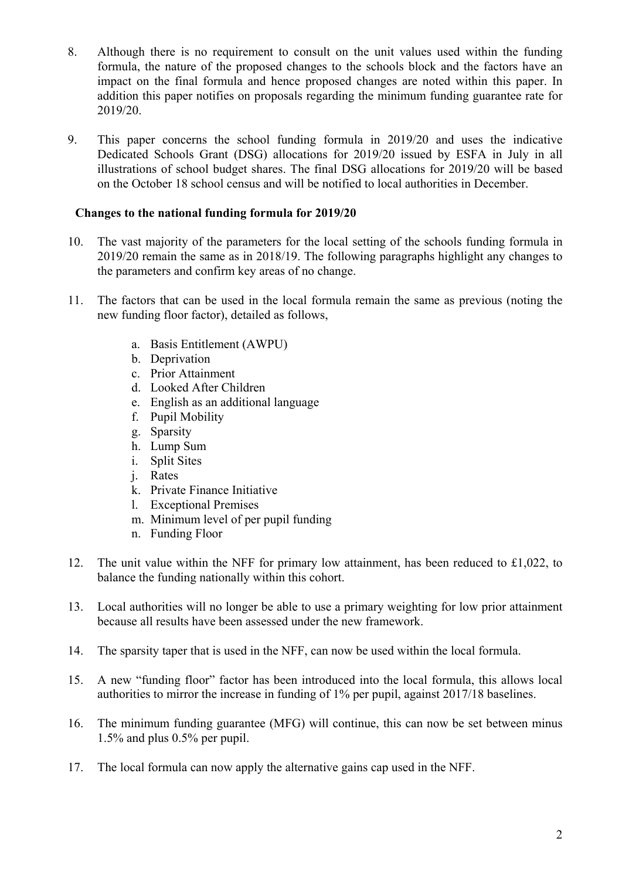- 8. Although there is no requirement to consult on the unit values used within the funding formula, the nature of the proposed changes to the schools block and the factors have an impact on the final formula and hence proposed changes are noted within this paper. In addition this paper notifies on proposals regarding the minimum funding guarantee rate for 2019/20.
- 9. This paper concerns the school funding formula in 2019/20 and uses the indicative Dedicated Schools Grant (DSG) allocations for 2019/20 issued by ESFA in July in all illustrations of school budget shares. The final DSG allocations for 2019/20 will be based on the October 18 school census and will be notified to local authorities in December.

# **Changes to the national funding formula for 2019/20**

- 10. The vast majority of the parameters for the local setting of the schools funding formula in 2019/20 remain the same as in 2018/19. The following paragraphs highlight any changes to the parameters and confirm key areas of no change.
- 11. The factors that can be used in the local formula remain the same as previous (noting the new funding floor factor), detailed as follows,
	- a. Basis Entitlement (AWPU)
	- b. Deprivation
	- c. Prior Attainment
	- d. Looked After Children
	- e. English as an additional language
	- f. Pupil Mobility
	- g. Sparsity
	- h. Lump Sum
	- i. Split Sites
	- j. Rates
	- k. Private Finance Initiative
	- l. Exceptional Premises
	- m. Minimum level of per pupil funding
	- n. Funding Floor
- 12. The unit value within the NFF for primary low attainment, has been reduced to £1,022, to balance the funding nationally within this cohort.
- 13. Local authorities will no longer be able to use a primary weighting for low prior attainment because all results have been assessed under the new framework.
- 14. The sparsity taper that is used in the NFF, can now be used within the local formula.
- 15. A new "funding floor" factor has been introduced into the local formula, this allows local authorities to mirror the increase in funding of 1% per pupil, against 2017/18 baselines.
- 16. The minimum funding guarantee (MFG) will continue, this can now be set between minus 1.5% and plus 0.5% per pupil.
- 17. The local formula can now apply the alternative gains cap used in the NFF.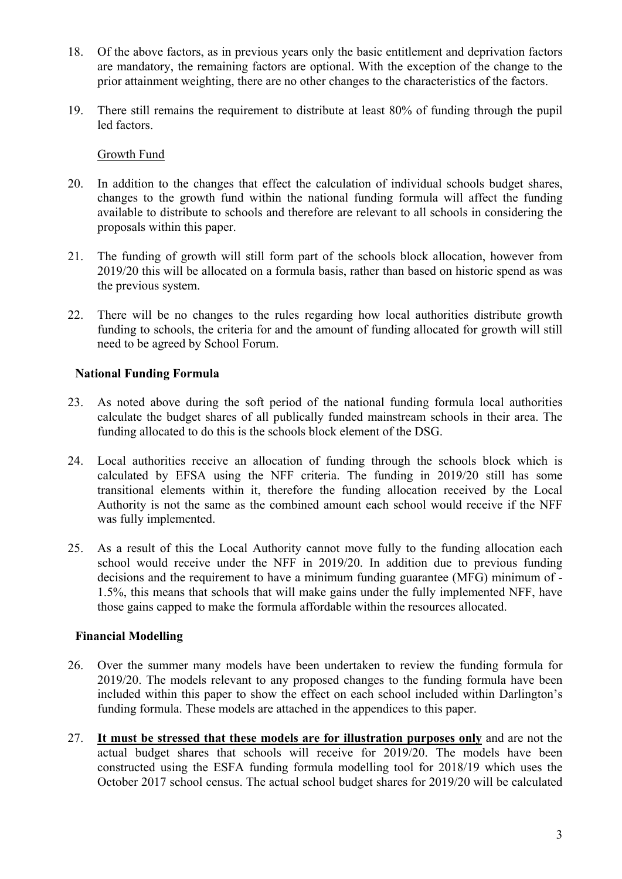- 18. Of the above factors, as in previous years only the basic entitlement and deprivation factors are mandatory, the remaining factors are optional. With the exception of the change to the prior attainment weighting, there are no other changes to the characteristics of the factors.
- 19. There still remains the requirement to distribute at least 80% of funding through the pupil led factors.

### Growth Fund

- 20. In addition to the changes that effect the calculation of individual schools budget shares, changes to the growth fund within the national funding formula will affect the funding available to distribute to schools and therefore are relevant to all schools in considering the proposals within this paper.
- 21. The funding of growth will still form part of the schools block allocation, however from 2019/20 this will be allocated on a formula basis, rather than based on historic spend as was the previous system.
- 22. There will be no changes to the rules regarding how local authorities distribute growth funding to schools, the criteria for and the amount of funding allocated for growth will still need to be agreed by School Forum.

# **National Funding Formula**

- 23. As noted above during the soft period of the national funding formula local authorities calculate the budget shares of all publically funded mainstream schools in their area. The funding allocated to do this is the schools block element of the DSG.
- 24. Local authorities receive an allocation of funding through the schools block which is calculated by EFSA using the NFF criteria. The funding in 2019/20 still has some transitional elements within it, therefore the funding allocation received by the Local Authority is not the same as the combined amount each school would receive if the NFF was fully implemented.
- decisions and the requirement to have a minimum funding guarantee (MFG) minimum of 25. As a result of this the Local Authority cannot move fully to the funding allocation each school would receive under the NFF in 2019/20. In addition due to previous funding 1.5%, this means that schools that will make gains under the fully implemented NFF, have those gains capped to make the formula affordable within the resources allocated.

# **Financial Modelling**

- 26. Over the summer many models have been undertaken to review the funding formula for 2019/20. The models relevant to any proposed changes to the funding formula have been included within this paper to show the effect on each school included within Darlington's funding formula. These models are attached in the appendices to this paper.
- 27. **It must be stressed that these models are for illustration purposes only** and are not the actual budget shares that schools will receive for 2019/20. The models have been constructed using the ESFA funding formula modelling tool for 2018/19 which uses the October 2017 school census. The actual school budget shares for 2019/20 will be calculated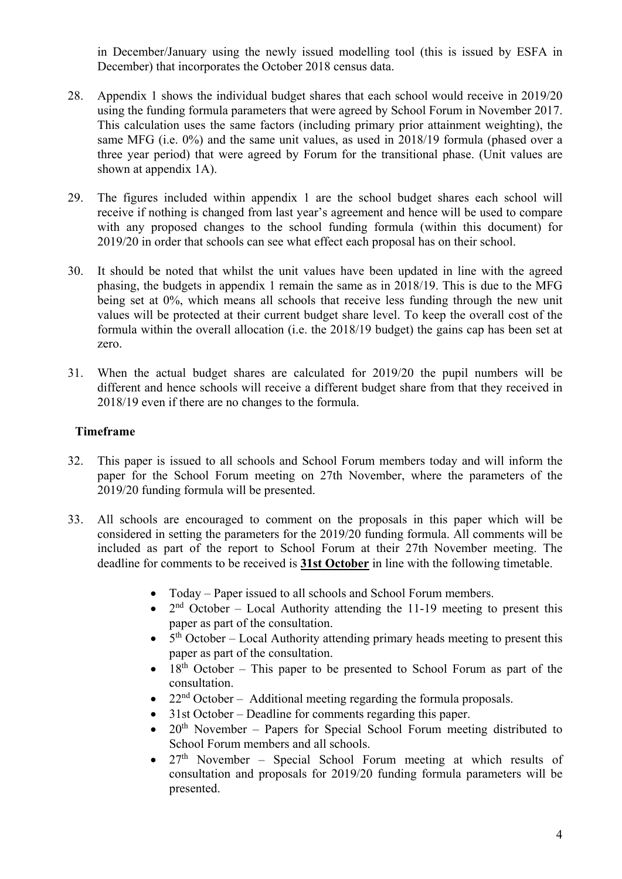in December/January using the newly issued modelling tool (this is issued by ESFA in December) that incorporates the October 2018 census data.

- 28. Appendix 1 shows the individual budget shares that each school would receive in 2019/20 using the funding formula parameters that were agreed by School Forum in November 2017. This calculation uses the same factors (including primary prior attainment weighting), the same MFG (i.e. 0%) and the same unit values, as used in 2018/19 formula (phased over a three year period) that were agreed by Forum for the transitional phase. (Unit values are shown at appendix 1A).
- 29. The figures included within appendix 1 are the school budget shares each school will receive if nothing is changed from last year's agreement and hence will be used to compare with any proposed changes to the school funding formula (within this document) for 2019/20 in order that schools can see what effect each proposal has on their school.
- formula within the overall allocation (i.e. the 2018/19 budget) the gains cap has been set at 30. It should be noted that whilst the unit values have been updated in line with the agreed phasing, the budgets in appendix 1 remain the same as in 2018/19. This is due to the MFG being set at 0%, which means all schools that receive less funding through the new unit values will be protected at their current budget share level. To keep the overall cost of the zero.
- 31. When the actual budget shares are calculated for 2019/20 the pupil numbers will be different and hence schools will receive a different budget share from that they received in 2018/19 even if there are no changes to the formula.

# **Timeframe**

- 32. This paper is issued to all schools and School Forum members today and will inform the paper for the School Forum meeting on 27th November, where the parameters of the 2019/20 funding formula will be presented.
- 33. All schools are encouraged to comment on the proposals in this paper which will be considered in setting the parameters for the 2019/20 funding formula. All comments will be included as part of the report to School Forum at their 27th November meeting. The deadline for comments to be received is **31st October** in line with the following timetable.
	- Today Paper issued to all schools and School Forum members.
	- $2<sup>nd</sup> October Local Authority attending the 11-19 meeting to present this$ paper as part of the consultation.
	- $\bullet$  5<sup>th</sup> October Local Authority attending primary heads meeting to present this paper as part of the consultation.
	- $18<sup>th</sup>$  October This paper to be presented to School Forum as part of the consultation.
	- $22<sup>nd</sup> October Additional meeting regarding the formula proposals.$
	- 31st October Deadline for comments regarding this paper.
	- $20<sup>th</sup>$  November Papers for Special School Forum meeting distributed to School Forum members and all schools.
	- $27<sup>th</sup>$  November Special School Forum meeting at which results of consultation and proposals for 2019/20 funding formula parameters will be presented.